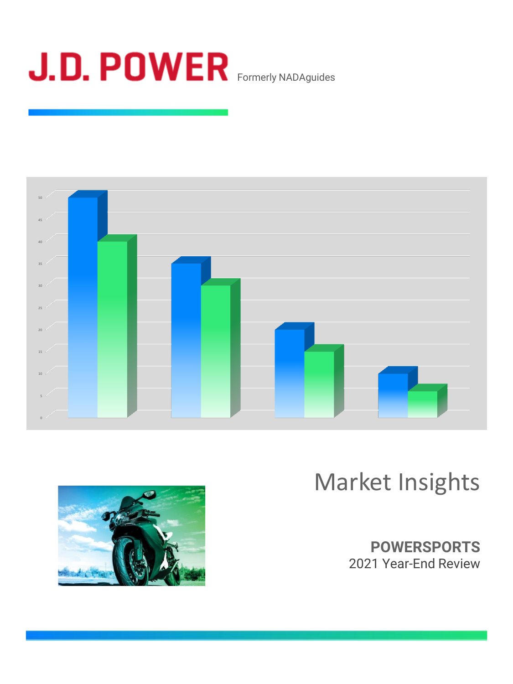



# Market Insights



**POWERSPORTS** 2021 Year-End Review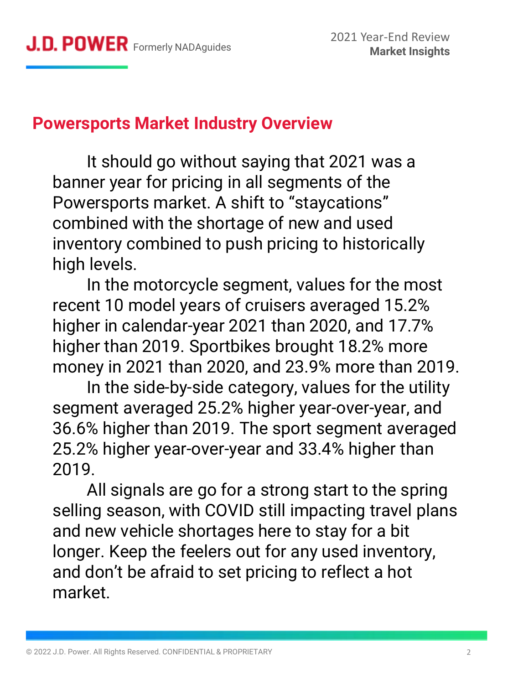### **Powersports Market Industry Overview**

It should go without saying that 2021 was a banner year for pricing in all segments of the Powersports market. A shift to "staycations" combined with the shortage of new and used inventory combined to push pricing to historically high levels.

In the motorcycle segment, values for the most recent 10 model years of cruisers averaged 15.2% higher in calendar-year 2021 than 2020, and 17.7% higher than 2019. Sportbikes brought 18.2% more money in 2021 than 2020, and 23.9% more than 2019.

In the side-by-side category, values for the utility segment averaged 25.2% higher year-over-year, and 36.6% higher than 2019. The sport segment averaged 25.2% higher year-over-year and 33.4% higher than 2019.

All signals are go for a strong start to the spring selling season, with COVID still impacting travel plans and new vehicle shortages here to stay for a bit longer. Keep the feelers out for any used inventory, and don't be afraid to set pricing to reflect a hot market.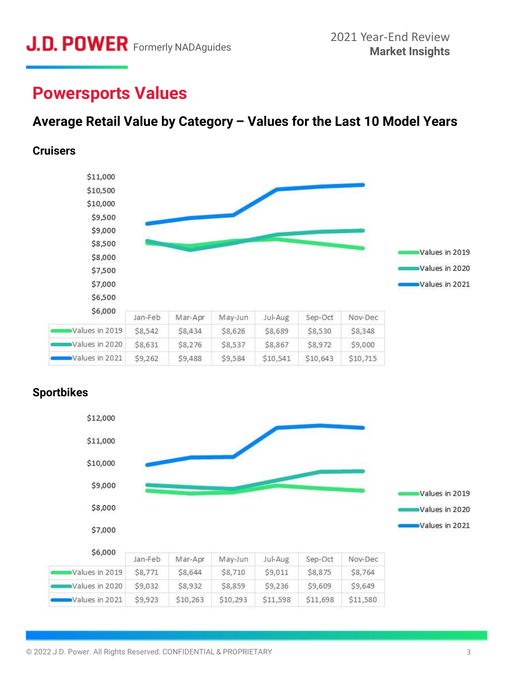### **Powersports Values**

### **Average Retail Value by Category – Values for the Last 10 Model Years**

#### **Cruisers**





### **Sportbikes**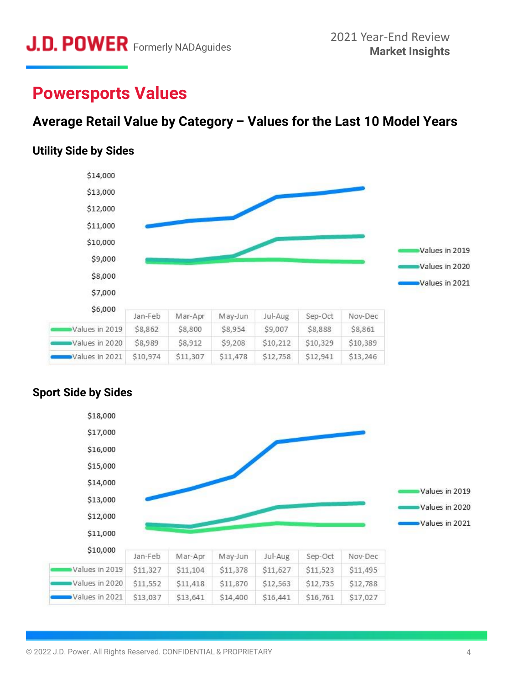## **Powersports Values**

### **Average Retail Value by Category – Values for the Last 10 Model Years**

### **Utility Side by Sides**



### **Sport Side by Sides**

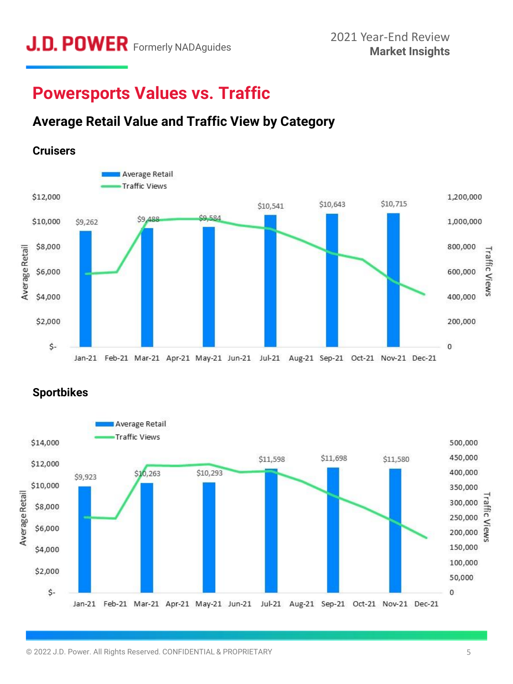## **Powersports Values vs. Traffic**

### **Average Retail Value and Traffic View by Category**



**Sportbikes**

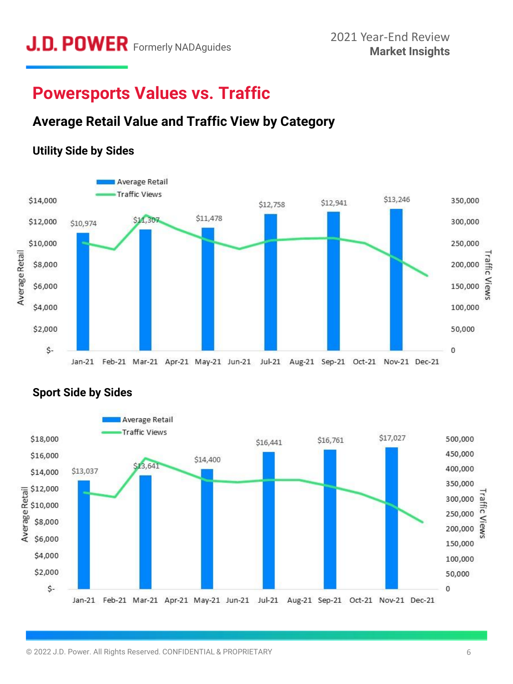## **Powersports Values vs. Traffic**

### **Average Retail Value and Traffic View by Category**

### **Utility Side by Sides**





### **Sport Side by Sides**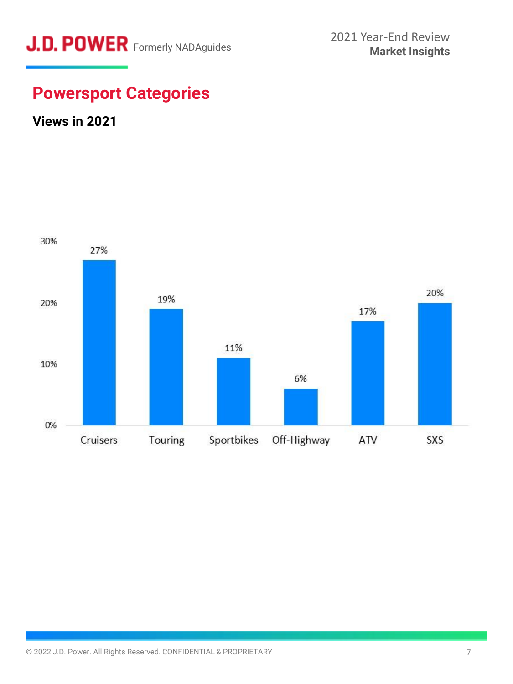

## **Powersport Categories**

### **Views in 2021**

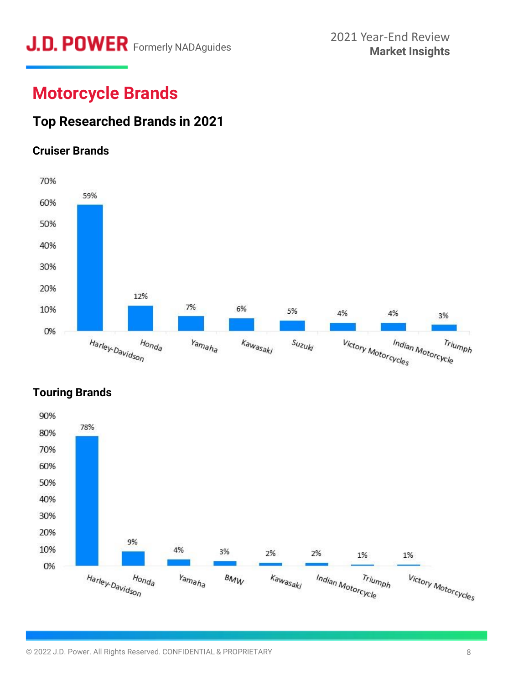## **J.D. POWER** Formerly NADAguides 2021 Year-End Review<br>Market Insights

## **Motorcycle Brands**

### **Top Researched Brands in 2021**

### **Cruiser Brands**





### **Touring Brands**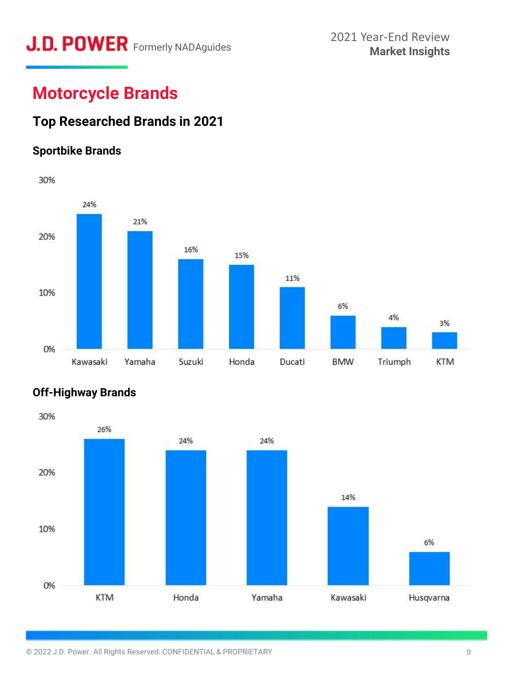# **Market Insights** Formerly NADAguides

## **Motorcycle Brands**

### **Top Researched Brands in 2021**

### **Sportbike Brands**





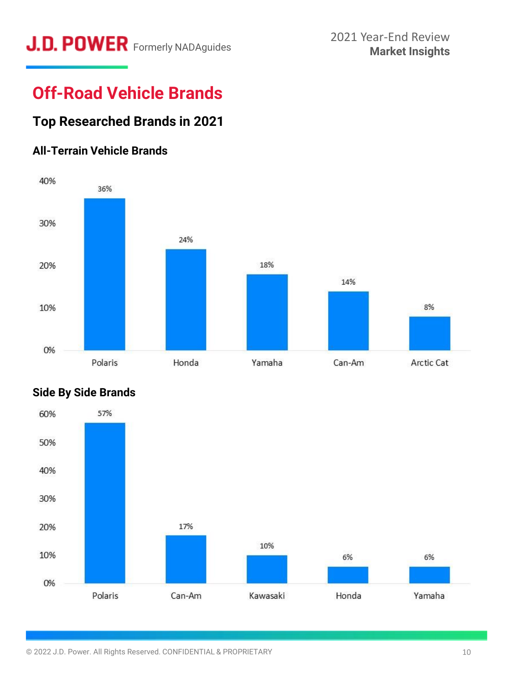# **Market Insights** Formerly NADAguides

## **Off-Road Vehicle Brands**

### **Top Researched Brands in 2021**

### **All-Terrain Vehicle Brands**





### **Side By Side Brands**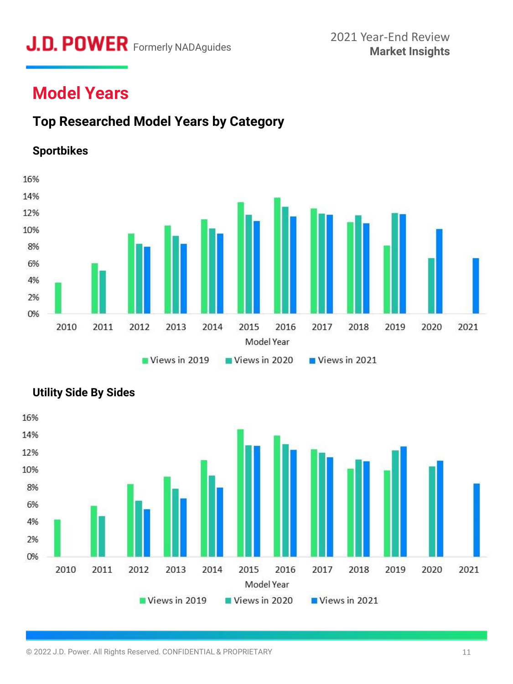## **Market Insights** Formerly NADAguides

## **Model Years**

### **Top Researched Model Years by Category**

### **Sportbikes**





### **Utility Side By Sides**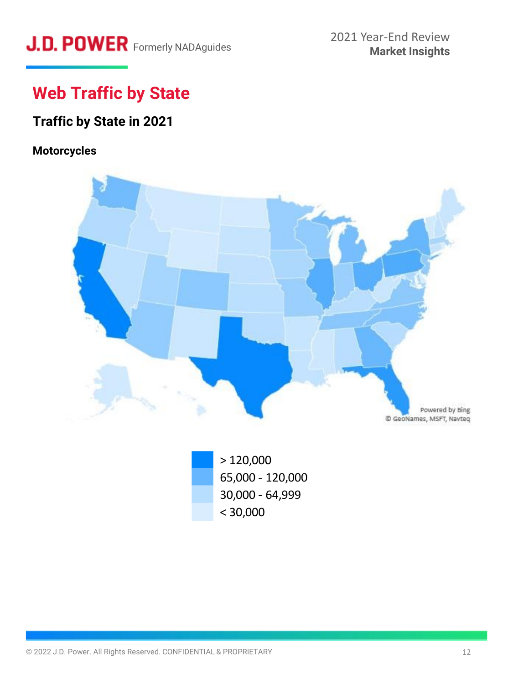## **Web Traffic by State**

### **Traffic by State in 2021**

### **Motorcycles**



> 120,000 65,000 - 120,000 30,000 - 64,999 < 30,000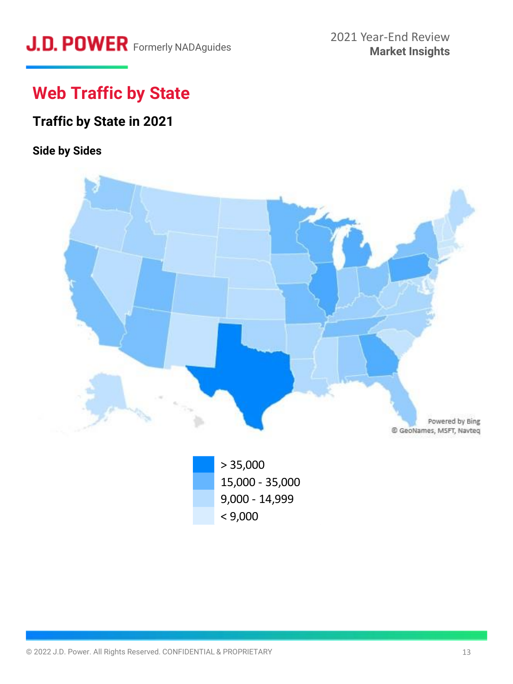## **Web Traffic by State**

### **Traffic by State in 2021**

### **Side by Sides**

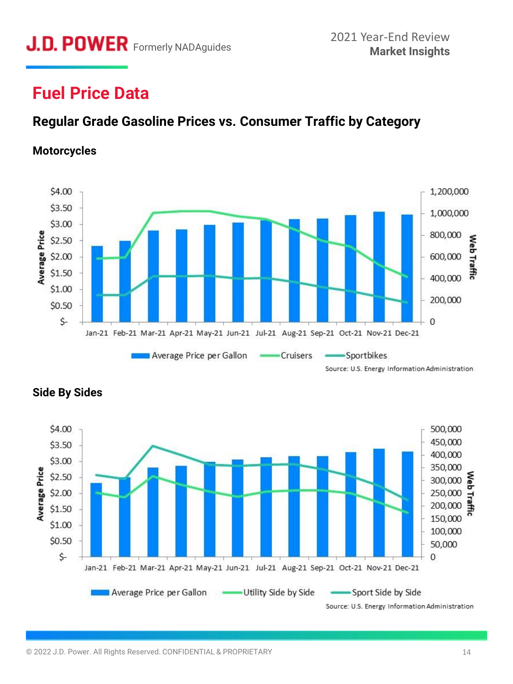## **Fuel Price Data**

### **Regular Grade Gasoline Prices vs. Consumer Traffic by Category**

### **Motorcycles**



Source: U.S. Energy Information Administration



### **Side By Sides**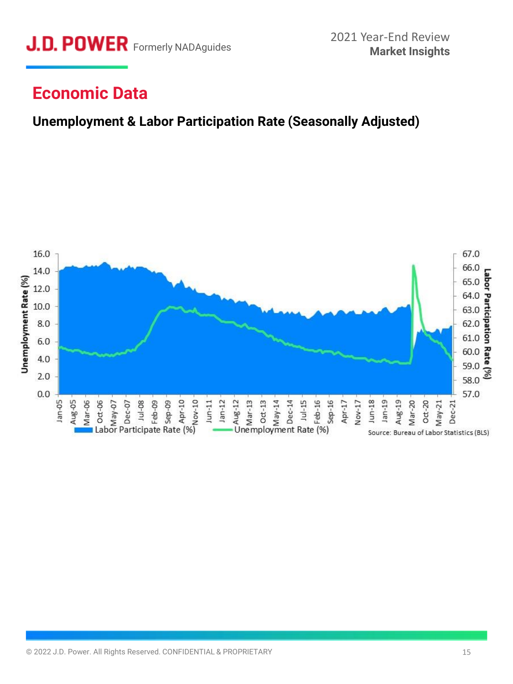

### **Economic Data**

### **Unemployment & Labor Participation Rate (Seasonally Adjusted)**